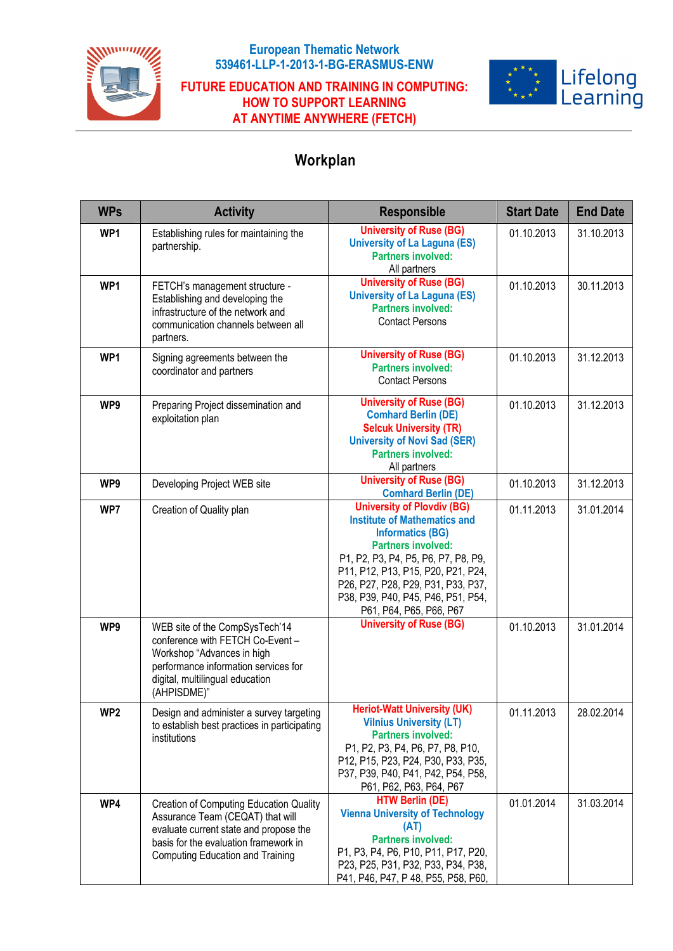

## **European Thematic Network 539461-LLP-1-2013-1-BG-ERASMUS-ENW**

## **FUTURE EDUCATION AND TRAINING IN COMPUTING: HOW TO SUPPORT LEARNING AT ANYTIME ANYWHERE (FETCH)**



## **Workplan**

| <b>WPs</b>      | <b>Activity</b>                                                                                                                                                                                           | <b>Responsible</b>                                                                                                                                                                                                                                                                                                   | <b>Start Date</b> | <b>End Date</b> |
|-----------------|-----------------------------------------------------------------------------------------------------------------------------------------------------------------------------------------------------------|----------------------------------------------------------------------------------------------------------------------------------------------------------------------------------------------------------------------------------------------------------------------------------------------------------------------|-------------------|-----------------|
| WP1             | Establishing rules for maintaining the<br>partnership.                                                                                                                                                    | <b>University of Ruse (BG)</b><br><b>University of La Laguna (ES)</b><br><b>Partners involved:</b><br>All partners                                                                                                                                                                                                   | 01.10.2013        | 31.10.2013      |
| WP1             | FETCH's management structure -<br>Establishing and developing the<br>infrastructure of the network and<br>communication channels between all<br>partners.                                                 | <b>University of Ruse (BG)</b><br><b>University of La Laguna (ES)</b><br><b>Partners involved:</b><br><b>Contact Persons</b>                                                                                                                                                                                         | 01.10.2013        | 30.11.2013      |
| WP1             | Signing agreements between the<br>coordinator and partners                                                                                                                                                | <b>University of Ruse (BG)</b><br><b>Partners involved:</b><br><b>Contact Persons</b>                                                                                                                                                                                                                                | 01.10.2013        | 31.12.2013      |
| WP9             | Preparing Project dissemination and<br>exploitation plan                                                                                                                                                  | <b>University of Ruse (BG)</b><br><b>Comhard Berlin (DE)</b><br><b>Selcuk University (TR)</b><br><b>University of Novi Sad (SER)</b><br><b>Partners involved:</b><br>All partners                                                                                                                                    | 01.10.2013        | 31.12.2013      |
| WP9             | Developing Project WEB site                                                                                                                                                                               | <b>University of Ruse (BG)</b><br><b>Comhard Berlin (DE)</b>                                                                                                                                                                                                                                                         | 01.10.2013        | 31.12.2013      |
| WP7             | Creation of Quality plan                                                                                                                                                                                  | <b>University of Plovdiv (BG)</b><br><b>Institute of Mathematics and</b><br><b>Informatics (BG)</b><br><b>Partners involved:</b><br>P1, P2, P3, P4, P5, P6, P7, P8, P9,<br>P11, P12, P13, P15, P20, P21, P24,<br>P26, P27, P28, P29, P31, P33, P37,<br>P38, P39, P40, P45, P46, P51, P54,<br>P61, P64, P65, P66, P67 | 01.11.2013        | 31.01.2014      |
| WP9             | WEB site of the CompSysTech'14<br>conference with FETCH Co-Event -<br>Workshop "Advances in high<br>performance information services for<br>digital, multilingual education<br>(AHPISDME)"                | <b>University of Ruse (BG)</b>                                                                                                                                                                                                                                                                                       | 01.10.2013        | 31.01.2014      |
| WP <sub>2</sub> | Design and administer a survey targeting<br>to establish best practices in participating<br>institutions                                                                                                  | <b>Heriot-Watt University (UK)</b><br><b>Vilnius University (LT)</b><br><b>Partners involved:</b><br>P1, P2, P3, P4, P6, P7, P8, P10,<br>P12, P15, P23, P24, P30, P33, P35,<br>P37, P39, P40, P41, P42, P54, P58,<br>P61, P62, P63, P64, P67                                                                         | 01.11.2013        | 28.02.2014      |
| WP4             | Creation of Computing Education Quality<br>Assurance Team (CEQAT) that will<br>evaluate current state and propose the<br>basis for the evaluation framework in<br><b>Computing Education and Training</b> | <b>HTW Berlin (DE)</b><br><b>Vienna University of Technology</b><br>(AT)<br><b>Partners involved:</b><br>P1, P3, P4, P6, P10, P11, P17, P20,<br>P23, P25, P31, P32, P33, P34, P38,<br>P41, P46, P47, P48, P55, P58, P60,                                                                                             | 01.01.2014        | 31.03.2014      |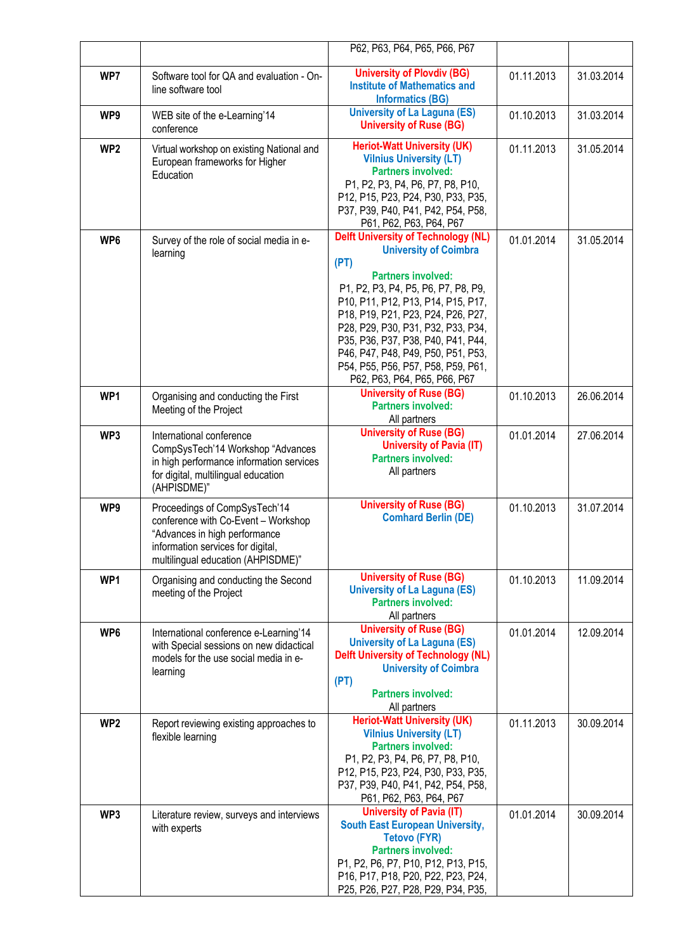|                 |                                                                                                                                                                                  | P62, P63, P64, P65, P66, P67                                                                                                                                                                                                                                                                                                                                                                                               |            |            |
|-----------------|----------------------------------------------------------------------------------------------------------------------------------------------------------------------------------|----------------------------------------------------------------------------------------------------------------------------------------------------------------------------------------------------------------------------------------------------------------------------------------------------------------------------------------------------------------------------------------------------------------------------|------------|------------|
| WP7             | Software tool for QA and evaluation - On-<br>line software tool                                                                                                                  | <b>University of Plovdiv (BG)</b><br><b>Institute of Mathematics and</b><br><b>Informatics (BG)</b>                                                                                                                                                                                                                                                                                                                        | 01.11.2013 | 31.03.2014 |
| WP9             | WEB site of the e-Learning'14<br>conference                                                                                                                                      | <b>University of La Laguna (ES)</b><br><b>University of Ruse (BG)</b>                                                                                                                                                                                                                                                                                                                                                      | 01.10.2013 | 31.03.2014 |
| WP <sub>2</sub> | Virtual workshop on existing National and<br>European frameworks for Higher<br>Education                                                                                         | <b>Heriot-Watt University (UK)</b><br><b>Vilnius University (LT)</b><br><b>Partners involved:</b><br>P1, P2, P3, P4, P6, P7, P8, P10,<br>P12, P15, P23, P24, P30, P33, P35,<br>P37, P39, P40, P41, P42, P54, P58,<br>P61, P62, P63, P64, P67                                                                                                                                                                               | 01.11.2013 | 31.05.2014 |
| WP6             | Survey of the role of social media in e-<br>learning                                                                                                                             | <b>Delft University of Technology (NL)</b><br><b>University of Coimbra</b><br>(PT)<br><b>Partners involved:</b><br>P1, P2, P3, P4, P5, P6, P7, P8, P9,<br>P10, P11, P12, P13, P14, P15, P17,<br>P18, P19, P21, P23, P24, P26, P27,<br>P28, P29, P30, P31, P32, P33, P34,<br>P35, P36, P37, P38, P40, P41, P44,<br>P46, P47, P48, P49, P50, P51, P53,<br>P54, P55, P56, P57, P58, P59, P61,<br>P62, P63, P64, P65, P66, P67 | 01.01.2014 | 31.05.2014 |
| WP1             | Organising and conducting the First<br>Meeting of the Project                                                                                                                    | <b>University of Ruse (BG)</b><br><b>Partners involved:</b><br>All partners                                                                                                                                                                                                                                                                                                                                                | 01.10.2013 | 26.06.2014 |
| WP3             | International conference<br>CompSysTech'14 Workshop "Advances<br>in high performance information services<br>for digital, multilingual education<br>(AHPISDME)"                  | <b>University of Ruse (BG)</b><br><b>University of Pavia (IT)</b><br><b>Partners involved:</b><br>All partners                                                                                                                                                                                                                                                                                                             | 01.01.2014 | 27.06.2014 |
| WP9             | Proceedings of CompSysTech'14<br>conference with Co-Event - Workshop<br>"Advances in high performance<br>information services for digital,<br>multilingual education (AHPISDME)" | <b>University of Ruse (BG)</b><br><b>Comhard Berlin (DE)</b>                                                                                                                                                                                                                                                                                                                                                               | 01.10.2013 | 31.07.2014 |
| WP1             | Organising and conducting the Second<br>meeting of the Project                                                                                                                   | <b>University of Ruse (BG)</b><br><b>University of La Laguna (ES)</b><br><b>Partners involved:</b><br>All partners                                                                                                                                                                                                                                                                                                         | 01.10.2013 | 11.09.2014 |
| WP6             | International conference e-Learning'14<br>with Special sessions on new didactical<br>models for the use social media in e-<br>learning                                           | <b>University of Ruse (BG)</b><br><b>University of La Laguna (ES)</b><br><b>Delft University of Technology (NL)</b><br><b>University of Coimbra</b><br>(PT)<br><b>Partners involved:</b><br>All partners                                                                                                                                                                                                                   | 01.01.2014 | 12.09.2014 |
| WP <sub>2</sub> | Report reviewing existing approaches to<br>flexible learning                                                                                                                     | <b>Heriot-Watt University (UK)</b><br><b>Vilnius University (LT)</b><br><b>Partners involved:</b><br>P1, P2, P3, P4, P6, P7, P8, P10,<br>P12, P15, P23, P24, P30, P33, P35,<br>P37, P39, P40, P41, P42, P54, P58,<br>P61, P62, P63, P64, P67                                                                                                                                                                               | 01.11.2013 | 30.09.2014 |
| WP3             | Literature review, surveys and interviews<br>with experts                                                                                                                        | <b>University of Pavia (IT)</b><br><b>South East European University,</b><br><b>Tetovo (FYR)</b><br><b>Partners involved:</b><br>P1, P2, P6, P7, P10, P12, P13, P15,<br>P16, P17, P18, P20, P22, P23, P24,<br>P25, P26, P27, P28, P29, P34, P35,                                                                                                                                                                           | 01.01.2014 | 30.09.2014 |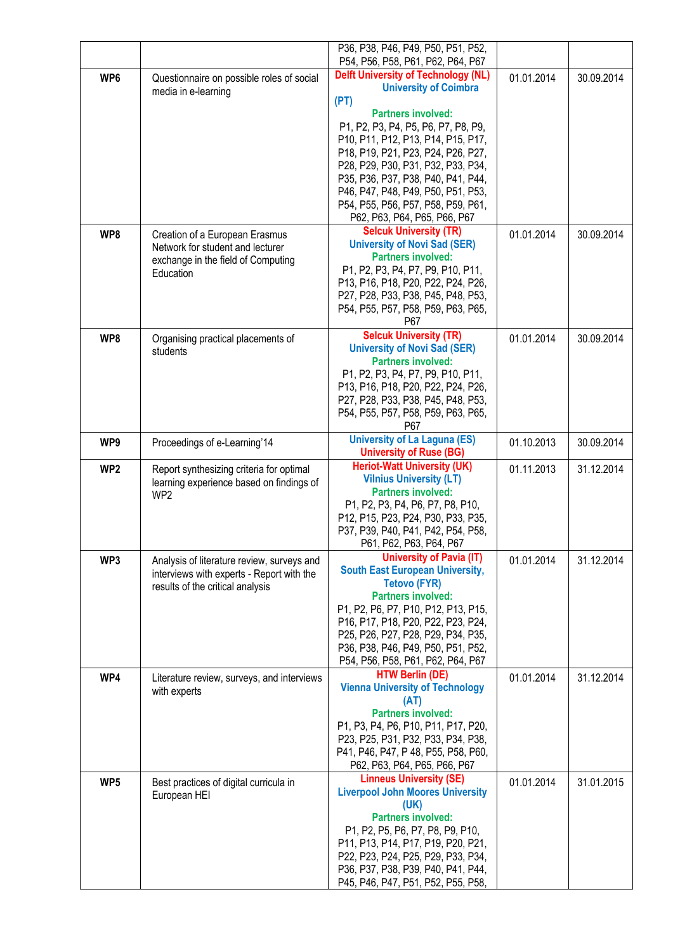|                 |                                                                                                                             | P36, P38, P46, P49, P50, P51, P52,<br>P54, P56, P58, P61, P62, P64, P67                                                                                                                                                                                                                                                                                                                                                    |            |            |
|-----------------|-----------------------------------------------------------------------------------------------------------------------------|----------------------------------------------------------------------------------------------------------------------------------------------------------------------------------------------------------------------------------------------------------------------------------------------------------------------------------------------------------------------------------------------------------------------------|------------|------------|
| WP6             | Questionnaire on possible roles of social<br>media in e-learning                                                            | <b>Delft University of Technology (NL)</b><br><b>University of Coimbra</b><br>(PT)<br><b>Partners involved:</b><br>P1, P2, P3, P4, P5, P6, P7, P8, P9,<br>P10, P11, P12, P13, P14, P15, P17,<br>P18, P19, P21, P23, P24, P26, P27,<br>P28, P29, P30, P31, P32, P33, P34,<br>P35, P36, P37, P38, P40, P41, P44,<br>P46, P47, P48, P49, P50, P51, P53,<br>P54, P55, P56, P57, P58, P59, P61,<br>P62, P63, P64, P65, P66, P67 | 01.01.2014 | 30.09.2014 |
| WP8             | Creation of a European Erasmus<br>Network for student and lecturer<br>exchange in the field of Computing<br>Education       | <b>Selcuk University (TR)</b><br><b>University of Novi Sad (SER)</b><br><b>Partners involved:</b><br>P1, P2, P3, P4, P7, P9, P10, P11,<br>P13, P16, P18, P20, P22, P24, P26,<br>P27, P28, P33, P38, P45, P48, P53,<br>P54, P55, P57, P58, P59, P63, P65,<br>P67                                                                                                                                                            | 01.01.2014 | 30.09.2014 |
| WP8             | Organising practical placements of<br>students                                                                              | <b>Selcuk University (TR)</b><br><b>University of Novi Sad (SER)</b><br><b>Partners involved:</b><br>P1, P2, P3, P4, P7, P9, P10, P11,<br>P13, P16, P18, P20, P22, P24, P26,<br>P27, P28, P33, P38, P45, P48, P53,<br>P54, P55, P57, P58, P59, P63, P65,<br>P67                                                                                                                                                            | 01.01.2014 | 30.09.2014 |
| WP9             | Proceedings of e-Learning'14                                                                                                | <b>University of La Laguna (ES)</b><br><b>University of Ruse (BG)</b>                                                                                                                                                                                                                                                                                                                                                      | 01.10.2013 | 30.09.2014 |
| WP <sub>2</sub> | Report synthesizing criteria for optimal<br>learning experience based on findings of<br>WP <sub>2</sub>                     | <b>Heriot-Watt University (UK)</b><br><b>Vilnius University (LT)</b><br><b>Partners involved:</b><br>P1, P2, P3, P4, P6, P7, P8, P10,<br>P12, P15, P23, P24, P30, P33, P35,<br>P37, P39, P40, P41, P42, P54, P58,<br>P61, P62, P63, P64, P67                                                                                                                                                                               | 01.11.2013 | 31.12.2014 |
| WP3             | Analysis of literature review, surveys and<br>interviews with experts - Report with the<br>results of the critical analysis | <b>University of Pavia (IT)</b><br><b>South East European University,</b><br><b>Tetovo (FYR)</b><br><b>Partners involved:</b><br>P1, P2, P6, P7, P10, P12, P13, P15,<br>P16, P17, P18, P20, P22, P23, P24,<br>P25, P26, P27, P28, P29, P34, P35,<br>P36, P38, P46, P49, P50, P51, P52,<br>P54, P56, P58, P61, P62, P64, P67                                                                                                | 01.01.2014 | 31.12.2014 |
| WP4             | Literature review, surveys, and interviews<br>with experts                                                                  | <b>HTW Berlin (DE)</b><br><b>Vienna University of Technology</b><br>(AT)<br><b>Partners involved:</b><br>P1, P3, P4, P6, P10, P11, P17, P20,<br>P23, P25, P31, P32, P33, P34, P38,<br>P41, P46, P47, P48, P55, P58, P60,<br>P62, P63, P64, P65, P66, P67                                                                                                                                                                   | 01.01.2014 | 31.12.2014 |
| WP <sub>5</sub> | Best practices of digital curricula in<br>European HEI                                                                      | <b>Linneus University (SE)</b><br><b>Liverpool John Moores University</b><br>(UK)<br><b>Partners involved:</b><br>P1, P2, P5, P6, P7, P8, P9, P10,<br>P11, P13, P14, P17, P19, P20, P21,<br>P22, P23, P24, P25, P29, P33, P34,<br>P36, P37, P38, P39, P40, P41, P44,<br>P45, P46, P47, P51, P52, P55, P58,                                                                                                                 | 01.01.2014 | 31.01.2015 |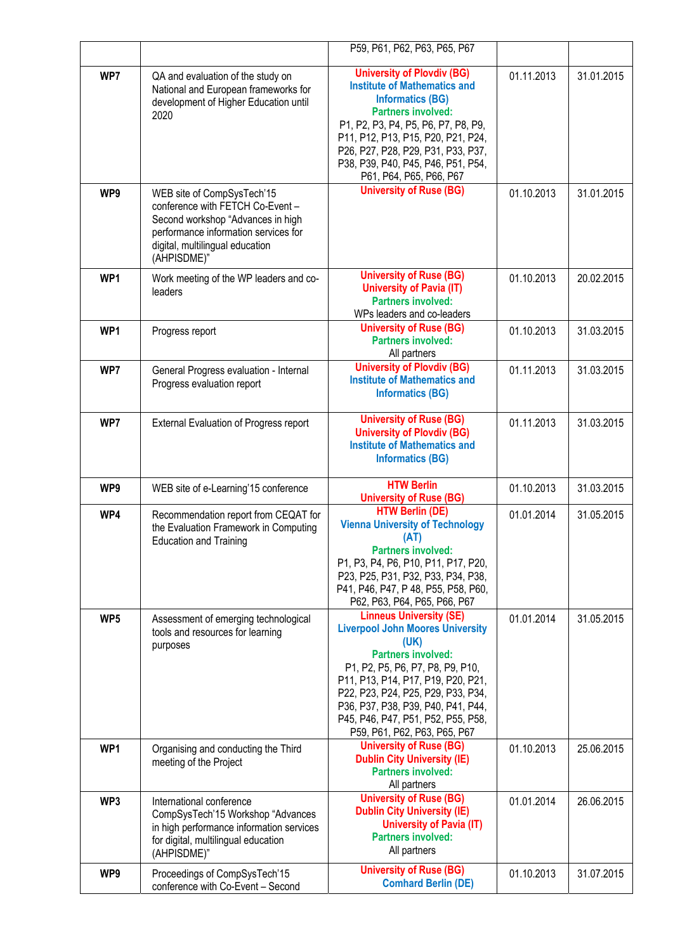|                 |                                                                                                                                                                                               | P59, P61, P62, P63, P65, P67                                                                                                                                                                                                                                                                                                               |            |            |
|-----------------|-----------------------------------------------------------------------------------------------------------------------------------------------------------------------------------------------|--------------------------------------------------------------------------------------------------------------------------------------------------------------------------------------------------------------------------------------------------------------------------------------------------------------------------------------------|------------|------------|
| WP7             | QA and evaluation of the study on<br>National and European frameworks for<br>development of Higher Education until<br>2020                                                                    | <b>University of Plovdiv (BG)</b><br><b>Institute of Mathematics and</b><br><b>Informatics (BG)</b><br><b>Partners involved:</b><br>P1, P2, P3, P4, P5, P6, P7, P8, P9,<br>P11, P12, P13, P15, P20, P21, P24,<br>P26, P27, P28, P29, P31, P33, P37,<br>P38, P39, P40, P45, P46, P51, P54,<br>P61, P64, P65, P66, P67                       | 01.11.2013 | 31.01.2015 |
| WP9             | WEB site of CompSysTech'15<br>conference with FETCH Co-Event -<br>Second workshop "Advances in high<br>performance information services for<br>digital, multilingual education<br>(AHPISDME)" | <b>University of Ruse (BG)</b>                                                                                                                                                                                                                                                                                                             | 01.10.2013 | 31.01.2015 |
| WP1             | Work meeting of the WP leaders and co-<br>leaders                                                                                                                                             | <b>University of Ruse (BG)</b><br><b>University of Pavia (IT)</b><br><b>Partners involved:</b><br>WPs leaders and co-leaders                                                                                                                                                                                                               | 01.10.2013 | 20.02.2015 |
| WP1             | Progress report                                                                                                                                                                               | <b>University of Ruse (BG)</b><br><b>Partners involved:</b><br>All partners                                                                                                                                                                                                                                                                | 01.10.2013 | 31.03.2015 |
| WP7             | General Progress evaluation - Internal<br>Progress evaluation report                                                                                                                          | <b>University of Plovdiv (BG)</b><br><b>Institute of Mathematics and</b><br><b>Informatics (BG)</b>                                                                                                                                                                                                                                        | 01.11.2013 | 31.03.2015 |
| WP7             | External Evaluation of Progress report                                                                                                                                                        | <b>University of Ruse (BG)</b><br><b>University of Plovdiv (BG)</b><br><b>Institute of Mathematics and</b><br><b>Informatics (BG)</b>                                                                                                                                                                                                      | 01.11.2013 | 31.03.2015 |
| WP9             | WEB site of e-Learning'15 conference                                                                                                                                                          | <b>HTW Berlin</b><br><b>University of Ruse (BG)</b>                                                                                                                                                                                                                                                                                        | 01.10.2013 | 31.03.2015 |
| WP4             | Recommendation report from CEQAT for<br>the Evaluation Framework in Computing<br><b>Education and Training</b>                                                                                | <b>HTW Berlin (DE)</b><br><b>Vienna University of Technology</b><br>(AT)<br><b>Partners involved:</b><br>P1, P3, P4, P6, P10, P11, P17, P20,<br>P23, P25, P31, P32, P33, P34, P38,<br>P41, P46, P47, P48, P55, P58, P60,<br>P62, P63, P64, P65, P66, P67                                                                                   | 01.01.2014 | 31.05.2015 |
| WP <sub>5</sub> | Assessment of emerging technological<br>tools and resources for learning<br>purposes                                                                                                          | <b>Linneus University (SE)</b><br><b>Liverpool John Moores University</b><br>(UK)<br><b>Partners involved:</b><br>P1, P2, P5, P6, P7, P8, P9, P10,<br>P11, P13, P14, P17, P19, P20, P21,<br>P22, P23, P24, P25, P29, P33, P34,<br>P36, P37, P38, P39, P40, P41, P44,<br>P45, P46, P47, P51, P52, P55, P58,<br>P59, P61, P62, P63, P65, P67 | 01.01.2014 | 31.05.2015 |
| WP1             | Organising and conducting the Third<br>meeting of the Project                                                                                                                                 | <b>University of Ruse (BG)</b><br><b>Dublin City University (IE)</b><br><b>Partners involved:</b><br>All partners                                                                                                                                                                                                                          | 01.10.2013 | 25.06.2015 |
| WP3             | International conference<br>CompSysTech'15 Workshop "Advances<br>in high performance information services<br>for digital, multilingual education<br>(AHPISDME)"                               | <b>University of Ruse (BG)</b><br><b>Dublin City University (IE)</b><br><b>University of Pavia (IT)</b><br><b>Partners involved:</b><br>All partners                                                                                                                                                                                       | 01.01.2014 | 26.06.2015 |
| WP9             | Proceedings of CompSysTech'15<br>conference with Co-Event - Second                                                                                                                            | <b>University of Ruse (BG)</b><br><b>Comhard Berlin (DE)</b>                                                                                                                                                                                                                                                                               | 01.10.2013 | 31.07.2015 |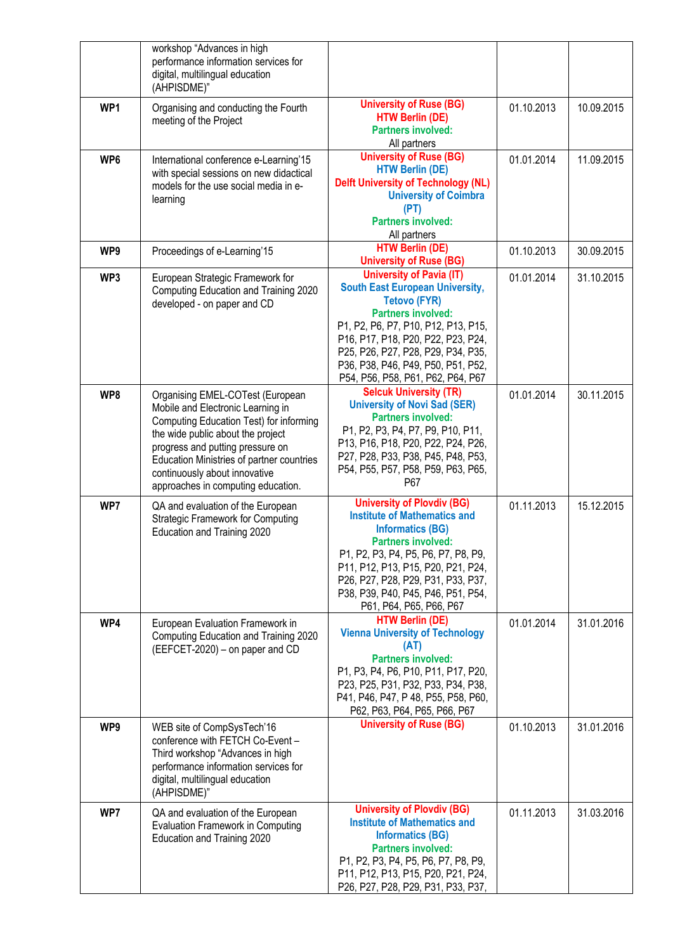|     | workshop "Advances in high<br>performance information services for<br>digital, multilingual education<br>(AHPISDME)"                                                                                                                                                                                          |                                                                                                                                                                                                                                                                                                                             |            |            |
|-----|---------------------------------------------------------------------------------------------------------------------------------------------------------------------------------------------------------------------------------------------------------------------------------------------------------------|-----------------------------------------------------------------------------------------------------------------------------------------------------------------------------------------------------------------------------------------------------------------------------------------------------------------------------|------------|------------|
| WP1 | Organising and conducting the Fourth<br>meeting of the Project                                                                                                                                                                                                                                                | <b>University of Ruse (BG)</b><br><b>HTW Berlin (DE)</b><br><b>Partners involved:</b><br>All partners                                                                                                                                                                                                                       | 01.10.2013 | 10.09.2015 |
| WP6 | International conference e-Learning'15<br>with special sessions on new didactical<br>models for the use social media in e-<br>learning                                                                                                                                                                        | <b>University of Ruse (BG)</b><br><b>HTW Berlin (DE)</b><br><b>Delft University of Technology (NL)</b><br><b>University of Coimbra</b><br>(PT)<br><b>Partners involved:</b><br>All partners                                                                                                                                 | 01.01.2014 | 11.09.2015 |
| WP9 | Proceedings of e-Learning'15                                                                                                                                                                                                                                                                                  | <b>HTW Berlin (DE)</b><br><b>University of Ruse (BG)</b>                                                                                                                                                                                                                                                                    | 01.10.2013 | 30.09.2015 |
| WP3 | European Strategic Framework for<br>Computing Education and Training 2020<br>developed - on paper and CD                                                                                                                                                                                                      | <b>University of Pavia (IT)</b><br><b>South East European University,</b><br><b>Tetovo (FYR)</b><br><b>Partners involved:</b><br>P1, P2, P6, P7, P10, P12, P13, P15,<br>P16, P17, P18, P20, P22, P23, P24,<br>P25, P26, P27, P28, P29, P34, P35,<br>P36, P38, P46, P49, P50, P51, P52,<br>P54, P56, P58, P61, P62, P64, P67 | 01.01.2014 | 31.10.2015 |
| WP8 | Organising EMEL-COTest (European<br>Mobile and Electronic Learning in<br>Computing Education Test) for informing<br>the wide public about the project<br>progress and putting pressure on<br>Education Ministries of partner countries<br>continuously about innovative<br>approaches in computing education. | <b>Selcuk University (TR)</b><br><b>University of Novi Sad (SER)</b><br><b>Partners involved:</b><br>P1, P2, P3, P4, P7, P9, P10, P11,<br>P13, P16, P18, P20, P22, P24, P26,<br>P27, P28, P33, P38, P45, P48, P53,<br>P54, P55, P57, P58, P59, P63, P65,<br>P67                                                             | 01.01.2014 | 30.11.2015 |
| WP7 | QA and evaluation of the European<br><b>Strategic Framework for Computing</b><br>Education and Training 2020                                                                                                                                                                                                  | <b>University of Plovdiv (BG)</b><br><b>Institute of Mathematics and</b><br><b>Informatics (BG)</b><br><b>Partners involved:</b><br>P1, P2, P3, P4, P5, P6, P7, P8, P9,<br>P11, P12, P13, P15, P20, P21, P24,<br>P26, P27, P28, P29, P31, P33, P37,<br>P38, P39, P40, P45, P46, P51, P54,<br>P61, P64, P65, P66, P67        | 01.11.2013 | 15.12.2015 |
| WP4 | European Evaluation Framework in<br>Computing Education and Training 2020<br>(EEFCET-2020) - on paper and CD                                                                                                                                                                                                  | <b>HTW Berlin (DE)</b><br><b>Vienna University of Technology</b><br>(AT)<br><b>Partners involved:</b><br>P1, P3, P4, P6, P10, P11, P17, P20,<br>P23, P25, P31, P32, P33, P34, P38,<br>P41, P46, P47, P48, P55, P58, P60,<br>P62, P63, P64, P65, P66, P67                                                                    | 01.01.2014 | 31.01.2016 |
| WP9 | WEB site of CompSysTech'16<br>conference with FETCH Co-Event -<br>Third workshop "Advances in high<br>performance information services for<br>digital, multilingual education<br>(AHPISDME)"                                                                                                                  | <b>University of Ruse (BG)</b>                                                                                                                                                                                                                                                                                              | 01.10.2013 | 31.01.2016 |
| WP7 | QA and evaluation of the European<br><b>Evaluation Framework in Computing</b><br>Education and Training 2020                                                                                                                                                                                                  | <b>University of Plovdiv (BG)</b><br><b>Institute of Mathematics and</b><br><b>Informatics (BG)</b><br><b>Partners involved:</b><br>P1, P2, P3, P4, P5, P6, P7, P8, P9,<br>P11, P12, P13, P15, P20, P21, P24,<br>P26, P27, P28, P29, P31, P33, P37,                                                                         | 01.11.2013 | 31.03.2016 |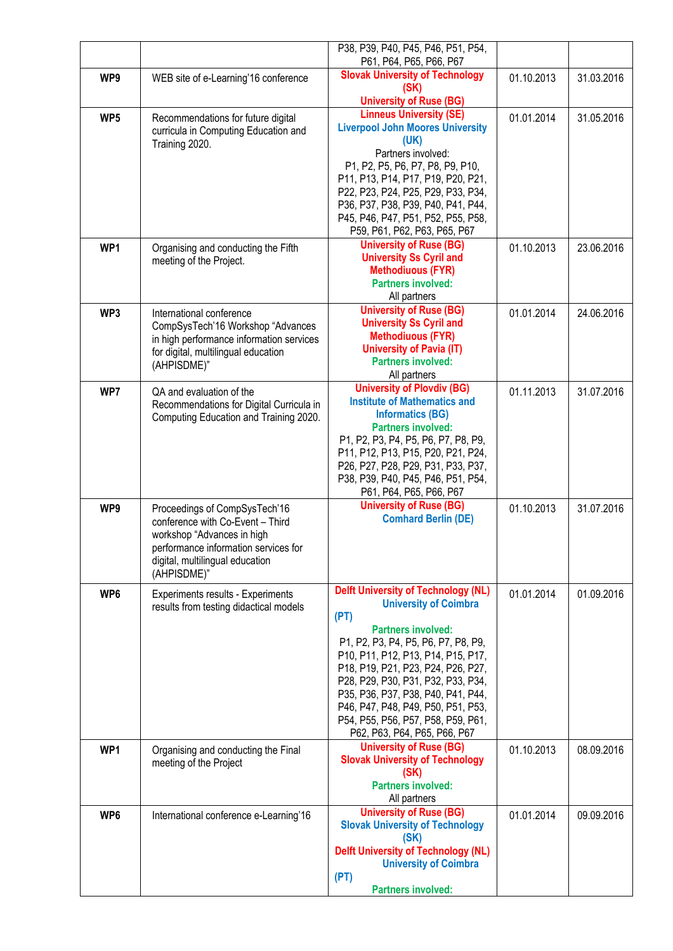|     |                                                                            | P38, P39, P40, P45, P46, P51, P54,<br>P61, P64, P65, P66, P67              |            |            |
|-----|----------------------------------------------------------------------------|----------------------------------------------------------------------------|------------|------------|
| WP9 | WEB site of e-Learning'16 conference                                       | <b>Slovak University of Technology</b>                                     | 01.10.2013 | 31.03.2016 |
|     |                                                                            | (SK)                                                                       |            |            |
| WP5 |                                                                            | <b>University of Ruse (BG)</b><br><b>Linneus University (SE)</b>           | 01.01.2014 | 31.05.2016 |
|     | Recommendations for future digital<br>curricula in Computing Education and | <b>Liverpool John Moores University</b>                                    |            |            |
|     | Training 2020.                                                             | (UK)                                                                       |            |            |
|     |                                                                            | Partners involved:<br>P1, P2, P5, P6, P7, P8, P9, P10,                     |            |            |
|     |                                                                            | P11, P13, P14, P17, P19, P20, P21,                                         |            |            |
|     |                                                                            | P22, P23, P24, P25, P29, P33, P34,                                         |            |            |
|     |                                                                            | P36, P37, P38, P39, P40, P41, P44,                                         |            |            |
|     |                                                                            | P45, P46, P47, P51, P52, P55, P58,                                         |            |            |
|     |                                                                            | P59, P61, P62, P63, P65, P67<br><b>University of Ruse (BG)</b>             |            |            |
| WP1 | Organising and conducting the Fifth<br>meeting of the Project.             | <b>University Ss Cyril and</b>                                             | 01.10.2013 | 23.06.2016 |
|     |                                                                            | <b>Methodiuous (FYR)</b>                                                   |            |            |
|     |                                                                            | <b>Partners involved:</b>                                                  |            |            |
|     |                                                                            | All partners<br><b>University of Ruse (BG)</b>                             |            |            |
| WP3 | International conference<br>CompSysTech'16 Workshop "Advances              | <b>University Ss Cyril and</b>                                             | 01.01.2014 | 24.06.2016 |
|     | in high performance information services                                   | <b>Methodiuous (FYR)</b>                                                   |            |            |
|     | for digital, multilingual education                                        | <b>University of Pavia (IT)</b>                                            |            |            |
|     | (AHPISDME)"                                                                | <b>Partners involved:</b>                                                  |            |            |
| WP7 | QA and evaluation of the                                                   | All partners<br><b>University of Plovdiv (BG)</b>                          | 01.11.2013 | 31.07.2016 |
|     | Recommendations for Digital Curricula in                                   | <b>Institute of Mathematics and</b>                                        |            |            |
|     | Computing Education and Training 2020.                                     | <b>Informatics (BG)</b>                                                    |            |            |
|     |                                                                            | <b>Partners involved:</b><br>P1, P2, P3, P4, P5, P6, P7, P8, P9,           |            |            |
|     |                                                                            | P11, P12, P13, P15, P20, P21, P24,                                         |            |            |
|     |                                                                            | P26, P27, P28, P29, P31, P33, P37,                                         |            |            |
|     |                                                                            | P38, P39, P40, P45, P46, P51, P54,                                         |            |            |
|     |                                                                            | P61, P64, P65, P66, P67<br><b>University of Ruse (BG)</b>                  |            |            |
| WP9 | Proceedings of CompSysTech'16<br>conference with Co-Event - Third          | <b>Comhard Berlin (DE)</b>                                                 | 01.10.2013 | 31.07.2016 |
|     | workshop "Advances in high                                                 |                                                                            |            |            |
|     | performance information services for                                       |                                                                            |            |            |
|     | digital, multilingual education                                            |                                                                            |            |            |
|     | (AHPISDME)"                                                                |                                                                            |            |            |
| WP6 | Experiments results - Experiments                                          | <b>Delft University of Technology (NL)</b><br><b>University of Coimbra</b> | 01.01.2014 | 01.09.2016 |
|     | results from testing didactical models                                     | (PT)                                                                       |            |            |
|     |                                                                            | <b>Partners involved:</b>                                                  |            |            |
|     |                                                                            | P1, P2, P3, P4, P5, P6, P7, P8, P9,                                        |            |            |
|     |                                                                            | P10, P11, P12, P13, P14, P15, P17,<br>P18, P19, P21, P23, P24, P26, P27,   |            |            |
|     |                                                                            | P28, P29, P30, P31, P32, P33, P34,                                         |            |            |
|     |                                                                            | P35, P36, P37, P38, P40, P41, P44,                                         |            |            |
|     |                                                                            | P46, P47, P48, P49, P50, P51, P53,                                         |            |            |
|     |                                                                            | P54, P55, P56, P57, P58, P59, P61,<br>P62, P63, P64, P65, P66, P67         |            |            |
| WP1 | Organising and conducting the Final                                        | <b>University of Ruse (BG)</b>                                             | 01.10.2013 | 08.09.2016 |
|     | meeting of the Project                                                     | <b>Slovak University of Technology</b>                                     |            |            |
|     |                                                                            | (SK)                                                                       |            |            |
|     |                                                                            | <b>Partners involved:</b><br>All partners                                  |            |            |
| WP6 | International conference e-Learning'16                                     | <b>University of Ruse (BG)</b>                                             | 01.01.2014 | 09.09.2016 |
|     |                                                                            | <b>Slovak University of Technology</b>                                     |            |            |
|     |                                                                            | (SK)                                                                       |            |            |
|     |                                                                            | <b>Delft University of Technology (NL)</b><br><b>University of Coimbra</b> |            |            |
|     |                                                                            | (PT)                                                                       |            |            |
|     |                                                                            | <b>Partners involved:</b>                                                  |            |            |